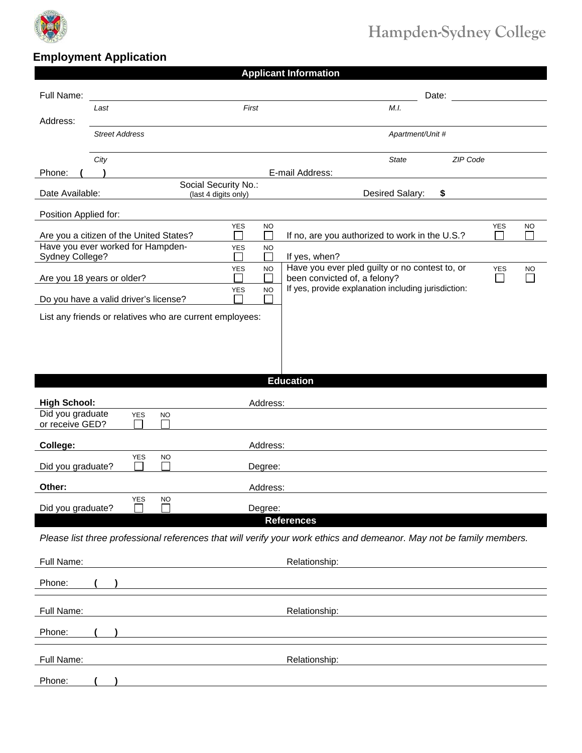

## **Hampden-Sydney College**

## **Employment Application**

| <b>Applicant Information</b>                             |                                                                              |                         |                                                                                                                      |            |           |  |  |
|----------------------------------------------------------|------------------------------------------------------------------------------|-------------------------|----------------------------------------------------------------------------------------------------------------------|------------|-----------|--|--|
| Full Name:                                               |                                                                              |                         | Date:                                                                                                                |            |           |  |  |
|                                                          | Last                                                                         | First                   | M.I.                                                                                                                 |            |           |  |  |
| Address:                                                 | <b>Street Address</b>                                                        |                         | Apartment/Unit #                                                                                                     |            |           |  |  |
|                                                          |                                                                              |                         |                                                                                                                      |            |           |  |  |
| Phone:                                                   | City                                                                         |                         | ZIP Code<br><b>State</b><br>E-mail Address:                                                                          |            |           |  |  |
| Date Available:                                          | Desired Salary:<br>\$                                                        |                         |                                                                                                                      |            |           |  |  |
| (last 4 digits only)<br>Position Applied for:            |                                                                              |                         |                                                                                                                      |            |           |  |  |
|                                                          |                                                                              | <b>YES</b><br><b>NO</b> |                                                                                                                      | <b>YES</b> | <b>NO</b> |  |  |
|                                                          | Are you a citizen of the United States?<br>Have you ever worked for Hampden- | <b>YES</b><br><b>NO</b> | If no, are you authorized to work in the U.S.?                                                                       |            |           |  |  |
| Sydney College?                                          |                                                                              | <b>YES</b><br><b>NO</b> | If yes, when?<br>Have you ever pled guilty or no contest to, or                                                      | <b>YES</b> | <b>NO</b> |  |  |
| Are you 18 years or older?                               |                                                                              | <b>YES</b><br><b>NO</b> | been convicted of, a felony?<br>$\Box$<br>If yes, provide explanation including jurisdiction:                        |            |           |  |  |
| Do you have a valid driver's license?                    |                                                                              |                         |                                                                                                                      |            |           |  |  |
| List any friends or relatives who are current employees: |                                                                              |                         |                                                                                                                      |            |           |  |  |
|                                                          |                                                                              |                         |                                                                                                                      |            |           |  |  |
|                                                          |                                                                              |                         |                                                                                                                      |            |           |  |  |
|                                                          |                                                                              |                         |                                                                                                                      |            |           |  |  |
|                                                          |                                                                              |                         | <b>Education</b>                                                                                                     |            |           |  |  |
|                                                          |                                                                              |                         |                                                                                                                      |            |           |  |  |
| <b>High School:</b><br>Did you graduate                  | <b>YES</b><br><b>NO</b>                                                      | Address:                |                                                                                                                      |            |           |  |  |
| or receive GED?                                          |                                                                              |                         |                                                                                                                      |            |           |  |  |
| College:                                                 | <b>YES</b><br><b>NO</b>                                                      | Address:                |                                                                                                                      |            |           |  |  |
| Did you graduate?                                        |                                                                              | Degree:                 |                                                                                                                      |            |           |  |  |
| Other:                                                   |                                                                              | Address:                |                                                                                                                      |            |           |  |  |
| Did you graduate?                                        | <b>YES</b><br>NO                                                             | Degree:                 |                                                                                                                      |            |           |  |  |
|                                                          |                                                                              |                         | <b>References</b>                                                                                                    |            |           |  |  |
|                                                          |                                                                              |                         | Please list three professional references that will verify your work ethics and demeanor. May not be family members. |            |           |  |  |
| Full Name:                                               |                                                                              |                         | Relationship:                                                                                                        |            |           |  |  |
| Phone:                                                   |                                                                              |                         |                                                                                                                      |            |           |  |  |
|                                                          |                                                                              |                         |                                                                                                                      |            |           |  |  |
| Full Name:                                               |                                                                              |                         | Relationship:                                                                                                        |            |           |  |  |
| Phone:                                                   |                                                                              |                         |                                                                                                                      |            |           |  |  |
| Full Name:                                               |                                                                              |                         | Relationship:                                                                                                        |            |           |  |  |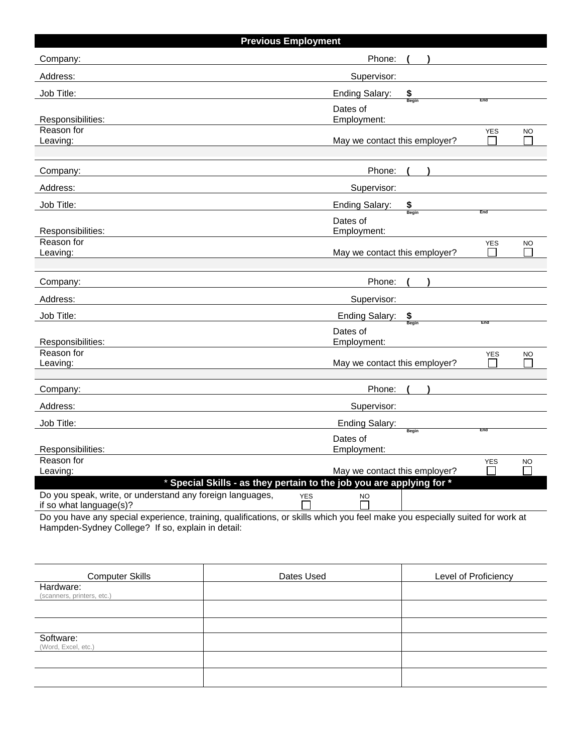| <b>Previous Employment</b>                                                                                                                             |                                      |            |           |  |  |  |  |
|--------------------------------------------------------------------------------------------------------------------------------------------------------|--------------------------------------|------------|-----------|--|--|--|--|
| Company:                                                                                                                                               | Phone:                               |            |           |  |  |  |  |
| Address:                                                                                                                                               | Supervisor:                          |            |           |  |  |  |  |
| Job Title:                                                                                                                                             | \$<br><b>Ending Salary:</b>          |            |           |  |  |  |  |
|                                                                                                                                                        | Begin<br>Dates of                    | End        |           |  |  |  |  |
| Responsibilities:                                                                                                                                      | Employment:                          |            |           |  |  |  |  |
| Reason for<br>Leaving:                                                                                                                                 | May we contact this employer?        | <b>YES</b> | <b>NO</b> |  |  |  |  |
|                                                                                                                                                        |                                      |            |           |  |  |  |  |
| Company:                                                                                                                                               | Phone:                               |            |           |  |  |  |  |
| Address:                                                                                                                                               | Supervisor:                          |            |           |  |  |  |  |
| Job Title:                                                                                                                                             | Ending Salary:<br>$S_{\text{Begin}}$ |            |           |  |  |  |  |
|                                                                                                                                                        | Dates of                             | End        |           |  |  |  |  |
| Responsibilities:                                                                                                                                      | Employment:                          |            |           |  |  |  |  |
| Reason for<br>Leaving:                                                                                                                                 | May we contact this employer?        | YES        | <b>NO</b> |  |  |  |  |
|                                                                                                                                                        |                                      |            |           |  |  |  |  |
| Company:                                                                                                                                               | Phone:                               |            |           |  |  |  |  |
| Address:                                                                                                                                               | Supervisor:                          |            |           |  |  |  |  |
| Job Title:                                                                                                                                             | <b>Ending Salary:</b><br>\$          |            |           |  |  |  |  |
|                                                                                                                                                        | Dates of                             | End        |           |  |  |  |  |
| Responsibilities:                                                                                                                                      | Employment:                          |            |           |  |  |  |  |
| Reason for<br>Leaving:                                                                                                                                 | May we contact this employer?        | <b>YES</b> | <b>NO</b> |  |  |  |  |
|                                                                                                                                                        |                                      |            |           |  |  |  |  |
| Company:                                                                                                                                               | Phone:                               |            |           |  |  |  |  |
| Address:                                                                                                                                               | Supervisor:                          |            |           |  |  |  |  |
| Job Title:                                                                                                                                             | <b>Ending Salary:</b>                |            |           |  |  |  |  |
|                                                                                                                                                        | Begin<br>Dates of                    | End        |           |  |  |  |  |
| Responsibilities:                                                                                                                                      | Employment:                          |            |           |  |  |  |  |
| Reason for<br>Leaving:                                                                                                                                 | May we contact this employer?        | <b>YES</b> | <b>NO</b> |  |  |  |  |
| * Special Skills - as they pertain to the job you are applying for *                                                                                   |                                      |            |           |  |  |  |  |
| Do you speak, write, or understand any foreign languages,<br><b>YES</b>                                                                                | <b>NO</b>                            |            |           |  |  |  |  |
| if so what language(s)?<br>Do vou have any special experience training qualifications, or skills which you feel make you especially suited for work at |                                      |            |           |  |  |  |  |

Do you have any special experience, training, qualifications, or skills which you feel make you especially suited for work at Hampden-Sydney College? If so, explain in detail:

| <b>Computer Skills</b>                  | Dates Used | Level of Proficiency |
|-----------------------------------------|------------|----------------------|
| Hardware:<br>(scanners, printers, etc.) |            |                      |
|                                         |            |                      |
|                                         |            |                      |
| Software:<br>(Word, Excel, etc.)        |            |                      |
|                                         |            |                      |
|                                         |            |                      |